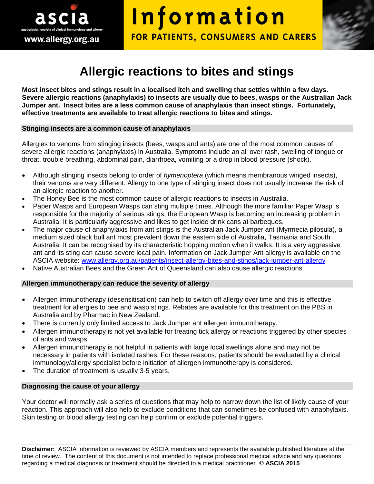

# Information FOR PATIENTS, CONSUMERS AND CARERS

# **Allergic reactions to bites and stings**

**Most insect bites and stings result in a localised itch and swelling that settles within a few days. Severe allergic reactions (anaphylaxis) to insects are usually due to bees, wasps or the Australian Jack Jumper ant. Insect bites are a less common cause of anaphylaxis than insect stings. Fortunately, effective treatments are available to treat allergic reactions to bites and stings.**

#### **Stinging insects are a common cause of anaphylaxis**

Allergies to venoms from stinging insects (bees, wasps and ants) are one of the most common causes of severe allergic reactions (anaphylaxis) in Australia. Symptoms include an all over rash, swelling of tongue or throat, trouble breathing, abdominal pain, diarrhoea, vomiting or a drop in blood pressure (shock).

- Although stinging insects belong to order of *hymenoptera* (which means membranous winged insects), their venoms are very different. Allergy to one type of stinging insect does not usually increase the risk of an allergic reaction to another.
- The Honey Bee is the most common cause of allergic reactions to insects in Australia.
- Paper Wasps and European Wasps can sting multiple times. Although the more familiar Paper Wasp is responsible for the majority of serious stings, the European Wasp is becoming an increasing problem in Australia. It is particularly aggressive and likes to get inside drink cans at barbeques.
- The major cause of anaphylaxis from ant stings is the Australian Jack Jumper ant (Myrmecia pilosula), a medium sized black bull ant most prevalent down the eastern side of Australia, Tasmania and South Australia. It can be recognised by its characteristic hopping motion when it walks. It is a very aggressive ant and its sting can cause severe local pain. Information on Jack Jumper Ant allergy is available on the ASCIA website: [www.allergy.org.au/patients/insect-allergy-bites-and-stings/jack-jumper-ant-allergy](http://www.allergy.org.au/patients/insect-allergy-bites-and-stings/jack-jumper-ant-allergy)
- Native Australian Bees and the Green Ant of Queensland can also cause allergic reactions.

#### **Allergen immunotherapy can reduce the severity of allergy**

- Allergen immunotherapy (desensitisation) can help to switch off allergy over time and this is effective treatment for allergies to bee and wasp stings. Rebates are available for this treatment on the PBS in Australia and by Pharmac in New Zealand.
- There is currently only limited access to Jack Jumper ant allergen immunotherapy.
- Allergen immunotherapy is not yet available for treating tick allergy or reactions triggered by other species of ants and wasps.
- Allergen immunotherapy is not helpful in patients with large local swellings alone and may not be necessary in patients with isolated rashes. For these reasons, patients should be evaluated by a clinical immunology/allergy specialist before initiation of allergen immunotherapy is considered.
- The duration of treatment is usually 3-5 years.

#### **Diagnosing the cause of your allergy**

Your doctor will normally ask a series of questions that may help to narrow down the list of likely cause of your reaction. This approach will also help to exclude conditions that can sometimes be confused with anaphylaxis. Skin testing or blood allergy testing can help confirm or exclude potential triggers.

**Disclaimer:** ASCIA information is reviewed by ASCIA members and represents the available published literature at the time of review. The content of this document is not intended to replace professional medical advice and any questions regarding a medical diagnosis or treatment should be directed to a medical practitioner. **© ASCIA 2015**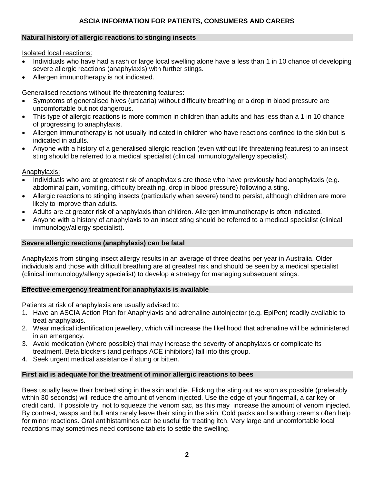# **Natural history of allergic reactions to stinging insects**

Isolated local reactions:

- Individuals who have had a rash or large local swelling alone have a less than 1 in 10 chance of developing severe allergic reactions (anaphylaxis) with further stings.
- Allergen immunotherapy is not indicated.

# Generalised reactions without life threatening features:

- Symptoms of generalised hives (urticaria) without difficulty breathing or a drop in blood pressure are uncomfortable but not dangerous.
- This type of allergic reactions is more common in children than adults and has less than a 1 in 10 chance of progressing to anaphylaxis.
- Allergen immunotherapy is not usually indicated in children who have reactions confined to the skin but is indicated in adults.
- Anyone with a history of a generalised allergic reaction (even without life threatening features) to an insect sting should be referred to a medical specialist (clinical immunology/allergy specialist).

## Anaphylaxis:

- Individuals who are at greatest risk of anaphylaxis are those who have previously had anaphylaxis (e.g. abdominal pain, vomiting, difficulty breathing, drop in blood pressure) following a sting.
- Allergic reactions to stinging insects (particularly when severe) tend to persist, although children are more likely to improve than adults.
- Adults are at greater risk of anaphylaxis than children. Allergen immunotherapy is often indicated.
- Anyone with a history of anaphylaxis to an insect sting should be referred to a medical specialist (clinical immunology/allergy specialist).

#### **Severe allergic reactions (anaphylaxis) can be fatal**

Anaphylaxis from stinging insect allergy results in an average of three deaths per year in Australia. Older individuals and those with difficult breathing are at greatest risk and should be seen by a medical specialist (clinical immunology/allergy specialist) to develop a strategy for managing subsequent stings.

#### **Effective emergency treatment for anaphylaxis is available**

Patients at risk of anaphylaxis are usually advised to:

- 1. Have an ASCIA Action Plan for Anaphylaxis and adrenaline autoinjector (e.g. EpiPen) readily available to treat anaphylaxis.
- 2. Wear medical identification jewellery, which will increase the likelihood that adrenaline will be administered in an emergency.
- 3. Avoid medication (where possible) that may increase the severity of anaphylaxis or complicate its treatment. Beta blockers (and perhaps ACE inhibitors) fall into this group.
- 4. Seek urgent medical assistance if stung or bitten.

# **First aid is adequate for the treatment of minor allergic reactions to bees**

Bees usually leave their barbed sting in the skin and die. Flicking the sting out as soon as possible (preferably within 30 seconds) will reduce the amount of venom injected. Use the edge of your fingernail, a car key or credit card. If possible try not to squeeze the venom sac, as this may increase the amount of venom injected. By contrast, wasps and bull ants rarely leave their sting in the skin. Cold packs and soothing creams often help for minor reactions. Oral antihistamines can be useful for treating itch. Very large and uncomfortable local reactions may sometimes need cortisone tablets to settle the swelling.